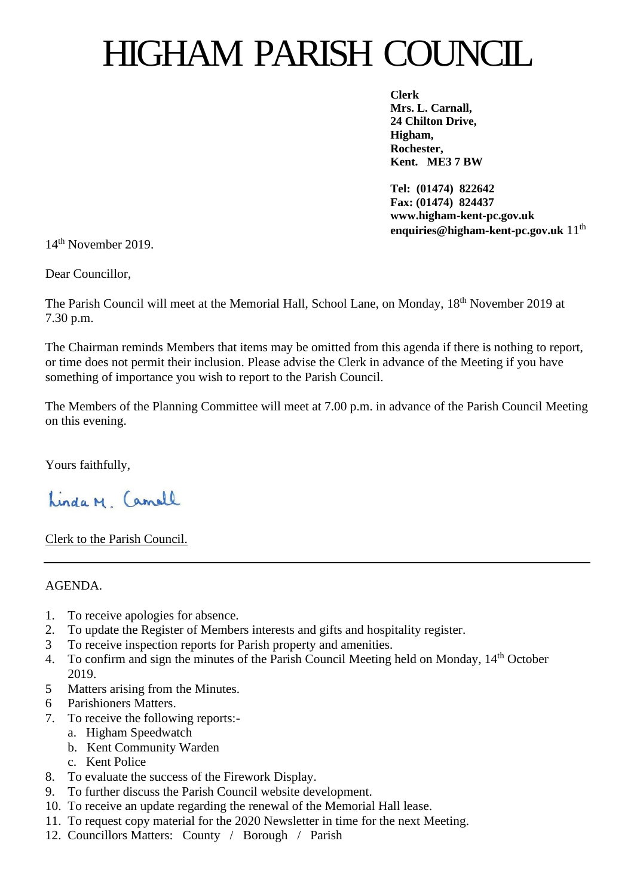# HIGHAM PARISH COUNCIL

**Clerk Mrs. L. Carnall, 24 Chilton Drive, Higham, Rochester, Kent. ME3 7 BW**

**Tel: (01474) 822642 Fax: (01474) 824437 www.higham-kent-pc.gov.uk enquiries@higham-kent-pc.gov.uk** 11th

14th November 2019.

Dear Councillor,

The Parish Council will meet at the Memorial Hall, School Lane, on Monday, 18th November 2019 at 7.30 p.m.

The Chairman reminds Members that items may be omitted from this agenda if there is nothing to report, or time does not permit their inclusion. Please advise the Clerk in advance of the Meeting if you have something of importance you wish to report to the Parish Council.

The Members of the Planning Committee will meet at 7.00 p.m. in advance of the Parish Council Meeting on this evening.

Yours faithfully,

Linda M Camell

Clerk to the Parish Council.

# AGENDA.

- 1. To receive apologies for absence.
- 2. To update the Register of Members interests and gifts and hospitality register.
- 3 To receive inspection reports for Parish property and amenities.
- 4. To confirm and sign the minutes of the Parish Council Meeting held on Monday, 14<sup>th</sup> October 2019.
- 5 Matters arising from the Minutes.
- 6 Parishioners Matters.
- 7. To receive the following reports:
	- a. Higham Speedwatch
	- b. Kent Community Warden
	- c. Kent Police
- 8. To evaluate the success of the Firework Display.
- 9. To further discuss the Parish Council website development.
- 10. To receive an update regarding the renewal of the Memorial Hall lease.
- 11. To request copy material for the 2020 Newsletter in time for the next Meeting.
- 12. Councillors Matters: County / Borough / Parish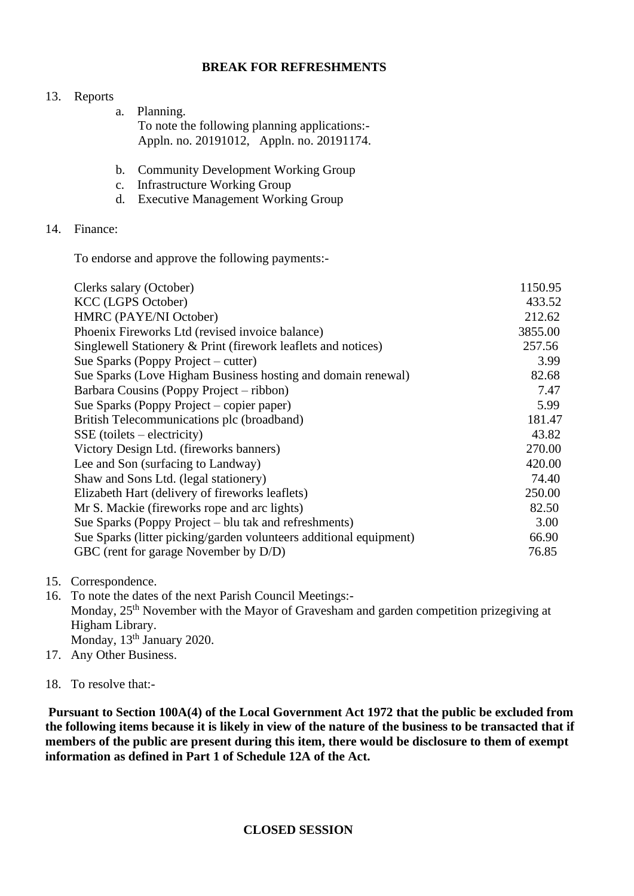## **BREAK FOR REFRESHMENTS**

### 13. Reports

- a. Planning. To note the following planning applications:- Appln. no. 20191012, Appln. no. 20191174.
- b. Community Development Working Group
- c. Infrastructure Working Group
- d. Executive Management Working Group

## 14. Finance:

To endorse and approve the following payments:-

| Clerks salary (October)                                            | 1150.95 |
|--------------------------------------------------------------------|---------|
| <b>KCC</b> (LGPS October)                                          | 433.52  |
| HMRC (PAYE/NI October)                                             | 212.62  |
| Phoenix Fireworks Ltd (revised invoice balance)                    | 3855.00 |
| Singlewell Stationery & Print (firework leaflets and notices)      | 257.56  |
| Sue Sparks (Poppy Project – cutter)                                | 3.99    |
| Sue Sparks (Love Higham Business hosting and domain renewal)       | 82.68   |
| Barbara Cousins (Poppy Project – ribbon)                           | 7.47    |
| Sue Sparks (Poppy Project – copier paper)                          | 5.99    |
| British Telecommunications plc (broadband)                         | 181.47  |
| $SSE$ (toilets – electricity)                                      | 43.82   |
| Victory Design Ltd. (fireworks banners)                            | 270.00  |
| Lee and Son (surfacing to Landway)                                 | 420.00  |
| Shaw and Sons Ltd. (legal stationery)                              | 74.40   |
| Elizabeth Hart (delivery of fireworks leaflets)                    | 250.00  |
| Mr S. Mackie (fireworks rope and arc lights)                       | 82.50   |
| Sue Sparks (Poppy Project – blu tak and refreshments)              | 3.00    |
| Sue Sparks (litter picking/garden volunteers additional equipment) | 66.90   |
| GBC (rent for garage November by D/D)                              | 76.85   |
|                                                                    |         |

- 15. Correspondence.
- 16. To note the dates of the next Parish Council Meetings:- Monday,  $25<sup>th</sup>$  November with the Mayor of Gravesham and garden competition prizegiving at Higham Library. Monday, 13<sup>th</sup> January 2020.
- 17. Any Other Business.
- 18. To resolve that:-

**Pursuant to Section 100A(4) of the Local Government Act 1972 that the public be excluded from the following items because it is likely in view of the nature of the business to be transacted that if members of the public are present during this item, there would be disclosure to them of exempt information as defined in Part 1 of Schedule 12A of the Act.**

### **CLOSED SESSION**